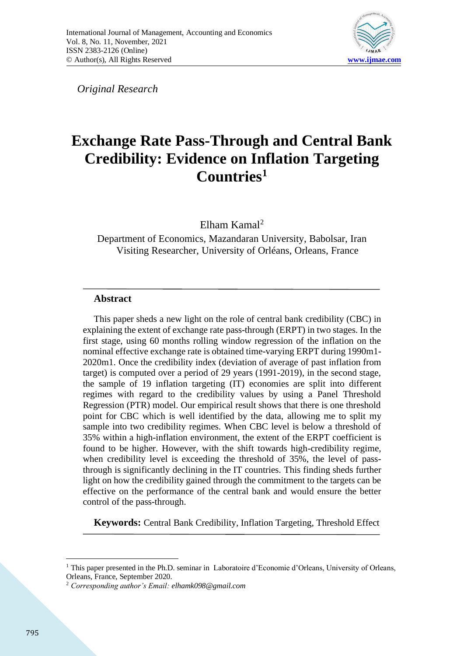

*Original Research* 

# **Exchange Rate Pass-Through and Central Bank Credibility: Evidence on Inflation Targeting Countries<sup>1</sup>**

Elham Kamal<sup>2</sup>

Department of Economics, Mazandaran University, Babolsar, Iran Visiting Researcher, University of Orléans, Orleans, France

## **Abstract**

This paper sheds a new light on the role of central bank credibility (CBC) in explaining the extent of exchange rate pass-through (ERPT) in two stages. In the first stage, using 60 months rolling window regression of the inflation on the nominal effective exchange rate is obtained time-varying ERPT during 1990m1- 2020m1. Once the credibility index (deviation of average of past inflation from target) is computed over a period of 29 years (1991-2019), in the second stage, the sample of 19 inflation targeting (IT) economies are split into different regimes with regard to the credibility values by using a Panel Threshold Regression (PTR) model. Our empirical result shows that there is one threshold point for CBC which is well identified by the data, allowing me to split my sample into two credibility regimes. When CBC level is below a threshold of 35% within a high-inflation environment, the extent of the ERPT coefficient is found to be higher. However, with the shift towards high-credibility regime, when credibility level is exceeding the threshold of 35%, the level of passthrough is significantly declining in the IT countries. This finding sheds further light on how the credibility gained through the commitment to the targets can be effective on the performance of the central bank and would ensure the better control of the pass-through.

**Keywords:** Central Bank Credibility, Inflation Targeting, Threshold Effect

<sup>&</sup>lt;sup>1</sup> This paper presented in the Ph.D. seminar in Laboratoire d'Economie d'Orleans, University of Orleans, Orleans, France, September 2020.

<sup>2</sup> *Corresponding author's Email: elhamk098@gmail.com*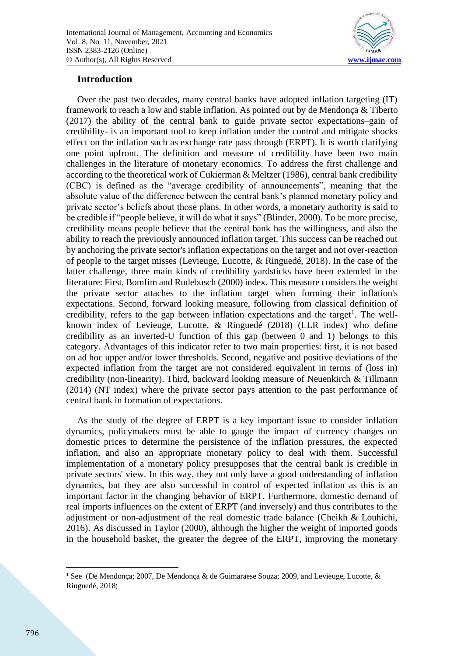

### **Introduction**

Over the past two decades, many central banks have adopted inflation targeting (IT) framework to reach a low and stable inflation. As pointed out by de Mendonça & Tiberto (2017) the ability of the central bank to guide private sector expectations–gain of credibility- is an important tool to keep inflation under the control and mitigate shocks effect on the inflation such as exchange rate pass through (ERPT). It is worth clarifying one point upfront. The definition and measure of credibility have been two main challenges in the literature of monetary economics. To address the first challenge and according to the theoretical work of Cukierman & Meltzer (1986), central bank credibility (CBC) is defined as the "average credibility of announcements", meaning that the absolute value of the difference between the central bank's planned monetary policy and private sector's beliefs about those plans. In other words, a monetary authority is said to be credible if "people believe, it will do what it says" (Blinder, 2000). To be more precise, credibility means people believe that the central bank has the willingness, and also the ability to reach the previously announced inflation target. This success can be reached out by anchoring the private sector's inflation expectations on the target and not over-reaction of people to the target misses (Levieuge, Lucotte, & Ringuedé, 2018). In the case of the latter challenge, three main kinds of credibility yardsticks have been extended in the literature: First, Bomfim and Rudebusch (2000) index. This measure considers the weight the private sector attaches to the inflation target when forming their inflation's expectations. Second, forward looking measure, following from classical definition of credibility, refers to the gap between inflation expectations and the target<sup>1</sup>. The wellknown index of Levieuge, Lucotte, & Ringuedé (2018) (LLR index) who define credibility as an inverted-U function of this gap (between 0 and 1) belongs to this category. Advantages of this indicator refer to two main properties: first, it is not based on ad hoc upper and/or lower thresholds. Second, negative and positive deviations of the expected inflation from the target are not considered equivalent in terms of (loss in) credibility (non-linearity). Third, backward looking measure of Neuenkirch & Tillmann (2014) (NT index) where the private sector pays attention to the past performance of central bank in formation of expectations.

As the study of the degree of ERPT is a key important issue to consider inflation dynamics, policymakers must be able to gauge the impact of currency changes on domestic prices to determine the persistence of the inflation pressures, the expected inflation, and also an appropriate monetary policy to deal with them. Successful implementation of a monetary policy presupposes that the central bank is credible in private sectors' view. In this way, they not only have a good understanding of inflation dynamics, but they are also successful in control of expected inflation as this is an important factor in the changing behavior of ERPT. Furthermore, domestic demand of real imports influences on the extent of ERPT (and inversely) and thus contributes to the adjustment or non-adjustment of the real domestic trade balance (Cheikh & Louhichi, 2016). As discussed in Taylor (2000), although the higher the weight of imported goods in the household basket, the greater the degree of the ERPT, improving the monetary

<sup>&</sup>lt;sup>1</sup> See (De Mendonca; 2007, De Mendonca & de Guimaraese Souza; 2009, and Levieuge, Lucotte, & Ringuedé, 2018)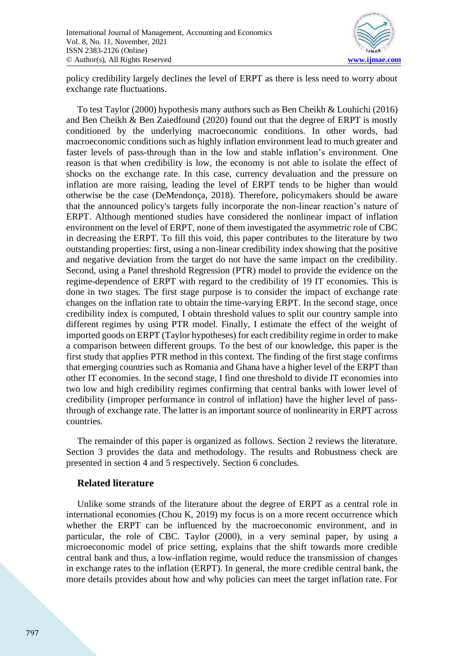

policy credibility largely declines the level of ERPT as there is less need to worry about exchange rate fluctuations.

To test Taylor (2000) hypothesis many authors such as Ben Cheikh & Louhichi (2016) and Ben Cheikh & Ben Zaiedfound (2020) found out that the degree of ERPT is mostly conditioned by the underlying macroeconomic conditions. In other words, bad macroeconomic conditions such as highly inflation environment lead to much greater and faster levels of pass-through than in the low and stable inflation's environment. One reason is that when credibility is low, the economy is not able to isolate the effect of shocks on the exchange rate. In this case, currency devaluation and the pressure on inflation are more raising, leading the level of ERPT tends to be higher than would otherwise be the case (DeMendonça, 2018). Therefore, policymakers should be aware that the announced policy's targets fully incorporate the non-linear reaction's nature of ERPT. Although mentioned studies have considered the nonlinear impact of inflation environment on the level of ERPT, none of them investigated the asymmetric role of CBC in decreasing the ERPT. To fill this void, this paper contributes to the literature by two outstanding properties: first, using a non-linear credibility index showing that the positive and negative deviation from the target do not have the same impact on the credibility. Second, using a Panel threshold Regression (PTR) model to provide the evidence on the regime-dependence of ERPT with regard to the credibility of 19 IT economies. This is done in two stages. The first stage purpose is to consider the impact of exchange rate changes on the inflation rate to obtain the time-varying ERPT. In the second stage, once credibility index is computed, I obtain threshold values to split our country sample into different regimes by using PTR model. Finally, I estimate the effect of the weight of imported goods on ERPT (Taylor hypotheses) for each credibility regime in order to make a comparison between different groups. To the best of our knowledge, this paper is the first study that applies PTR method in this context. The finding of the first stage confirms that emerging countries such as Romania and Ghana have a higher level of the ERPT than other IT economies. In the second stage, I find one threshold to divide IT economies into two low and high credibility regimes confirming that central banks with lower level of credibility (improper performance in control of inflation) have the higher level of passthrough of exchange rate. The latter is an important source of nonlinearity in ERPT across countries.

The remainder of this paper is organized as follows. Section 2 reviews the literature. Section 3 provides the data and methodology. The results and Robustness check are presented in section 4 and 5 respectively. Section 6 concludes.

#### **Related literature**

Unlike some strands of the literature about the degree of ERPT as a central role in international economies (Chou K, 2019) my focus is on a more recent occurrence which whether the ERPT can be influenced by the macroeconomic environment, and in particular, the role of CBC. Taylor (2000), in a very seminal paper, by using a microeconomic model of price setting, explains that the shift towards more credible central bank and thus, a low-inflation regime, would reduce the transmission of changes in exchange rates to the inflation (ERPT). In general, the more credible central bank, the more details provides about how and why policies can meet the target inflation rate. For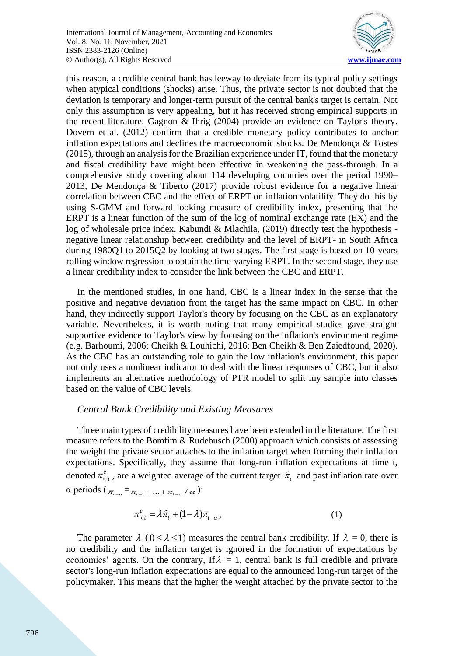

this reason, a credible central bank has leeway to deviate from its typical policy settings when atypical conditions (shocks) arise. Thus, the private sector is not doubted that the deviation is temporary and longer-term pursuit of the central bank's target is certain. Not only this assumption is very appealing, but it has received strong empirical supports in the recent literature. Gagnon & Ihrig (2004) provide an evidence on Taylor's theory. Dovern et al. (2012) confirm that a credible monetary policy contributes to anchor inflation expectations and declines the macroeconomic shocks. De Mendonça & Tostes (2015), through an analysis for the Brazilian experience under IT, found that the monetary and fiscal credibility have might been effective in weakening the pass-through. In a comprehensive study covering about 114 developing countries over the period 1990– 2013, De Mendonça & Tiberto (2017) provide robust evidence for a negative linear correlation between CBC and the effect of ERPT on inflation volatility. They do this by using S-GMM and forward looking measure of credibility index, presenting that the ERPT is a linear function of the sum of the log of nominal exchange rate (EX) and the log of wholesale price index. Kabundi & Mlachila, (2019) directly test the hypothesis negative linear relationship between credibility and the level of ERPT- in South Africa during 1980Q1 to 2015Q2 by looking at two stages. The first stage is based on 10-years rolling window regression to obtain the time-varying ERPT. In the second stage, they use a linear credibility index to consider the link between the CBC and ERPT.

In the mentioned studies, in one hand, CBC is a linear index in the sense that the positive and negative deviation from the target has the same impact on CBC. In other hand, they indirectly support Taylor's theory by focusing on the CBC as an explanatory variable. Nevertheless, it is worth noting that many empirical studies gave straight supportive evidence to Taylor's view by focusing on the inflation's environment regime (e.g. Barhoumi, 2006; Cheikh & Louhichi, 2016; Ben Cheikh & Ben Zaiedfound, 2020). As the CBC has an outstanding role to gain the low inflation's environment, this paper not only uses a nonlinear indicator to deal with the linear responses of CBC, but it also implements an alternative methodology of PTR model to split my sample into classes based on the value of CBC levels.

#### *Central Bank Credibility and Existing Measures*

Three main types of credibility measures have been extended in the literature. The first measure refers to the Bomfim & Rudebusch (2000) approach which consists of assessing the weight the private sector attaches to the inflation target when forming their inflation expectations. Specifically, they assume that long-run inflation expectations at time t, denoted  $\pi_{\omega_t}^e$ , are a weighted average of the current target  $\hat{\pi}_t$  and past inflation rate over |  $\alpha$  periods ( $\bar{\pi}_{t-a} = \bar{\pi}_{t-1} + ... + \bar{\pi}_{t-a} / \alpha$ ):

$$
\pi_{\text{out}}^e = \lambda \hat{\pi}_t + (1 - \lambda) \bar{\pi}_{t-\alpha}, \tag{1}
$$

The parameter  $\lambda$  ( $0 \le \lambda \le 1$ ) measures the central bank credibility. If  $\lambda = 0$ , there is no credibility and the inflation target is ignored in the formation of expectations by economics' agents. On the contrary, If  $\lambda = 1$ , central bank is full credible and private sector's long-run inflation expectations are equal to the announced long-run target of the policymaker. This means that the higher the weight attached by the private sector to the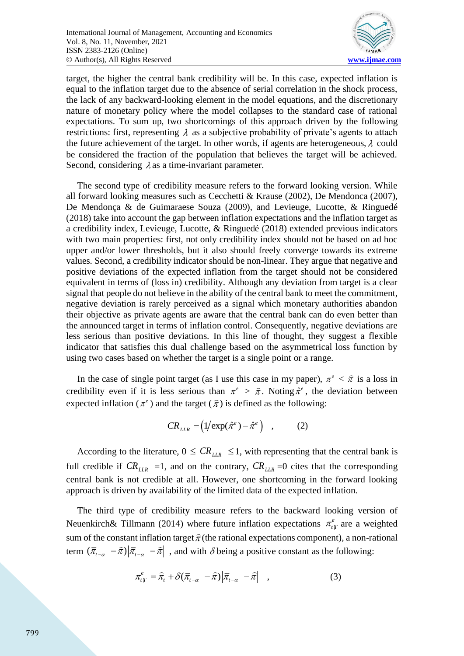

target, the higher the central bank credibility will be. In this case, expected inflation is equal to the inflation target due to the absence of serial correlation in the shock process, the lack of any backward-looking element in the model equations, and the discretionary nature of monetary policy where the model collapses to the standard case of rational expectations. To sum up, two shortcomings of this approach driven by the following restrictions: first, representing  $\lambda$  as a subjective probability of private's agents to attach the future achievement of the target. In other words, if agents are heterogeneous,  $\lambda$  could be considered the fraction of the population that believes the target will be achieved. Second, considering  $\lambda$  as a time-invariant parameter.

The second type of credibility measure refers to the forward looking version. While all forward looking measures such as Cecchetti & Krause (2002), De Mendonca (2007), De Mendonça & de Guimaraese Souza (2009), and Levieuge, Lucotte, & Ringuedé (2018) take into account the gap between inflation expectations and the inflation target as a credibility index, Levieuge, Lucotte, & Ringuedé (2018) extended previous indicators with two main properties: first, not only credibility index should not be based on ad hoc upper and/or lower thresholds, but it also should freely converge towards its extreme values. Second, a credibility indicator should be non-linear. They argue that negative and positive deviations of the expected inflation from the target should not be considered equivalent in terms of (loss in) credibility. Although any deviation from target is a clear signal that people do not believe in the ability of the central bank to meet the commitment, negative deviation is rarely perceived as a signal which monetary authorities abandon their objective as private agents are aware that the central bank can do even better than the announced target in terms of inflation control. Consequently, negative deviations are less serious than positive deviations. In this line of thought, they suggest a flexible indicator that satisfies this dual challenge based on the asymmetrical loss function by using two cases based on whether the target is a single point or a range.

In the case of single point target (as I use this case in my paper),  $\pi^e < \hat{\pi}$  is a loss in credibility even if it is less serious than  $\pi^e > \hat{\pi}$ . Noting  $\hat{\pi}^e$ , the deviation between expected inflation ( $\pi^e$ ) and the target ( $\hat{\pi}$ ) is defined as the following:

$$
CR_{LLR} = (1/\exp(\hat{\pi}^e) - \hat{\pi}^e) \quad , \tag{2}
$$

According to the literature,  $0 \le CR_{LR} \le 1$ , with representing that the central bank is full credible if  $CR_{LLR} = 1$ , and on the contrary,  $CR_{LLR} = 0$  cites that the corresponding central bank is not credible at all. However, one shortcoming in the forward looking approach is driven by availability of the limited data of the expected inflation.

The third type of credibility measure refers to the backward looking version of Neuenkirch& Tillmann (2014) where future inflation expectations  $\pi^e_{tT}$  are a weighted sum of the constant inflation target  $\hat{\pi}$  (the rational expectations component), a non-rational term  $(\bar{\pi}_{t-a} - \hat{\pi})|\bar{\pi}_{t-a} - \hat{\pi}|$ , and with  $\delta$  being a positive constant as the following:

$$
\pi_{t}^{e} = \hat{\pi}_{t} + \delta(\bar{\pi}_{t-\alpha} - \hat{\pi}) \left| \bar{\pi}_{t-\alpha} - \hat{\pi} \right| , \qquad (3)
$$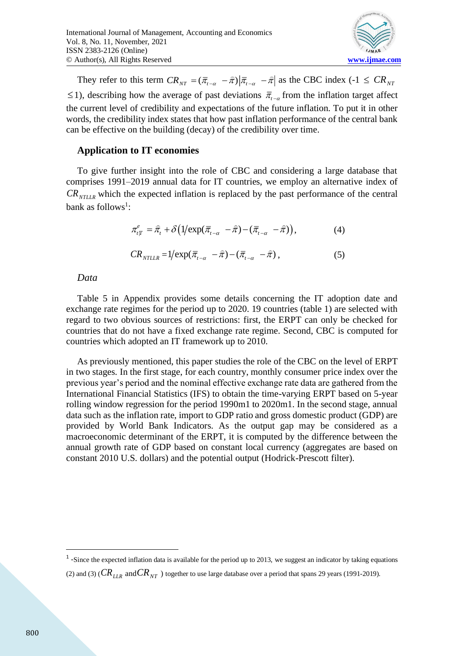

They refer to this term  $CR_{NT} = (\bar{\pi}_{t-a} - \hat{\pi})|\bar{\pi}_{t-a} - \hat{\pi}|$  as the CBC index (-1  $\leq CR_{NT}$  $\le$ 1), describing how the average of past deviations  $\bar{\pi}_{t-a}$  from the inflation target affect the current level of credibility and expectations of the future inflation. To put it in other words, the credibility index states that how past inflation performance of the central bank can be effective on the building (decay) of the credibility over time.

#### **Application to IT economies**

To give further insight into the role of CBC and considering a large database that comprises 1991–2019 annual data for IT countries, we employ an alternative index of *CR*<sub>NTLLR</sub> which the expected inflation is replaced by the past performance of the central bank as follows<sup>1</sup>:

$$
\pi_{t}^{e} = \hat{\pi}_{t} + \delta \left( 1 / \exp(\bar{\pi}_{t-\alpha} - \hat{\pi}) - (\bar{\pi}_{t-\alpha} - \hat{\pi}) \right), \tag{4}
$$

$$
CR_{\text{NTLLR}} = 1/\exp(\overline{\pi}_{t-\alpha} - \widehat{\pi}) - (\overline{\pi}_{t-\alpha} - \widehat{\pi}), \qquad (5)
$$

#### *Data*

Table 5 in Appendix provides some details concerning the IT adoption date and exchange rate regimes for the period up to 2020. 19 countries (table 1) are selected with regard to two obvious sources of restrictions: first, the ERPT can only be checked for countries that do not have a fixed exchange rate regime. Second, CBC is computed for countries which adopted an IT framework up to 2010.

As previously mentioned, this paper studies the role of the CBC on the level of ERPT in two stages. In the first stage, for each country, monthly consumer price index over the previous year's period and the nominal effective exchange rate data are gathered from the International Financial Statistics (IFS) to obtain the time-varying ERPT based on 5-year rolling window regression for the period 1990m1 to 2020m1. In the second stage, annual data such as the inflation rate, import to GDP ratio and gross domestic product (GDP) are provided by World Bank Indicators. As the output gap may be considered as a macroeconomic determinant of the ERPT, it is computed by the difference between the annual growth rate of GDP based on constant local currency (aggregates are based on constant 2010 U.S. dollars) and the potential output (Hodrick-Prescott filter).

 $<sup>1</sup>$  -Since the expected inflation data is available for the period up to 2013, we suggest an indicator by taking equations</sup> (2) and (3) ( $CR_{LLR}^+$  and  $CR_{NT}^-$  ) together to use large database over a period that spans 29 years (1991-2019).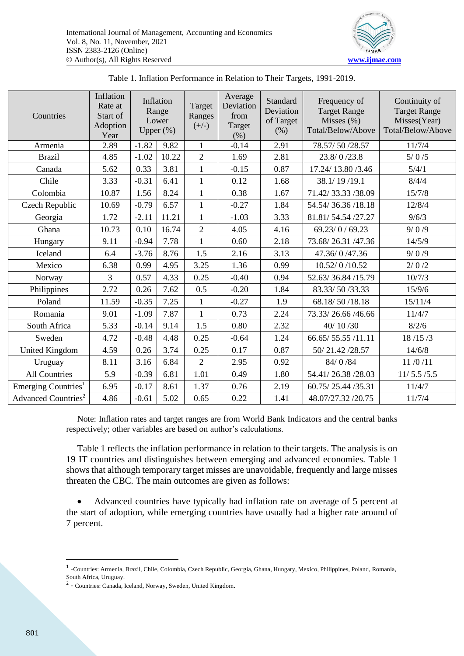

| Countries                       | Inflation<br>Rate at<br>Start of<br>Adoption<br>Year |         | Inflation<br>Range<br>Lower<br>Upper $(\%)$ | Target<br>Ranges<br>$(+/-)$ | Average<br>Deviation<br>from<br>Target<br>(% ) | Standard<br>Deviation<br>of Target<br>(% ) | Frequency of<br><b>Target Range</b><br>Misses $(\%)$<br>Total/Below/Above | Continuity of<br><b>Target Range</b><br>Misses(Year)<br>Total/Below/Above |
|---------------------------------|------------------------------------------------------|---------|---------------------------------------------|-----------------------------|------------------------------------------------|--------------------------------------------|---------------------------------------------------------------------------|---------------------------------------------------------------------------|
| Armenia                         | 2.89                                                 | $-1.82$ | 9.82                                        | 1                           | $-0.14$                                        | 2.91                                       | 78.57/50/28.57                                                            | 11/7/4                                                                    |
| <b>Brazil</b>                   | 4.85                                                 | $-1.02$ | 10.22                                       | $\overline{2}$              | 1.69                                           | 2.81                                       | 23.8/0/23.8                                                               | $5/0/5$                                                                   |
| Canada                          | 5.62                                                 | 0.33    | 3.81                                        | $\mathbf{1}$                | $-0.15$                                        | 0.87                                       | 17.24/13.80/3.46                                                          | 5/4/1                                                                     |
| Chile                           | 3.33                                                 | $-0.31$ | 6.41                                        | $\mathbf{1}$                | 0.12                                           | 1.68                                       | 38.1/19/19.1                                                              | 8/4/4                                                                     |
| Colombia                        | 10.87                                                | 1.56    | 8.24                                        | $\mathbf{1}$                | 0.38                                           | 1.67                                       | 71.42/33.33/38.09                                                         | 15/7/8                                                                    |
| Czech Republic                  | 10.69                                                | $-0.79$ | 6.57                                        | $\mathbf{1}$                | $-0.27$                                        | 1.84                                       | 54.54/36.36/18.18                                                         | 12/8/4                                                                    |
| Georgia                         | 1.72                                                 | $-2.11$ | 11.21                                       | $\mathbf{1}$                | $-1.03$                                        | 3.33                                       | 81.81/54.54 /27.27                                                        | 9/6/3                                                                     |
| Ghana                           | 10.73                                                | 0.10    | 16.74                                       | $\overline{2}$              | 4.05                                           | 4.16                                       | 69.23/0/69.23                                                             | 9/0/9                                                                     |
| Hungary                         | 9.11                                                 | $-0.94$ | 7.78                                        | $\mathbf{1}$                | 0.60                                           | 2.18                                       | 73.68/26.31/47.36                                                         | 14/5/9                                                                    |
| Iceland                         | 6.4                                                  | $-3.76$ | 8.76                                        | 1.5                         | 2.16                                           | 3.13                                       | 47.36/0/47.36                                                             | 9/0/9                                                                     |
| Mexico                          | 6.38                                                 | 0.99    | 4.95                                        | 3.25                        | 1.36                                           | 0.99                                       | 10.52/0/10.52                                                             | 2/0/2                                                                     |
| Norway                          | 3                                                    | 0.57    | 4.33                                        | 0.25                        | $-0.40$                                        | 0.94                                       | 52.63/36.84/15.79                                                         | 10/7/3                                                                    |
| Philippines                     | 2.72                                                 | 0.26    | 7.62                                        | 0.5                         | $-0.20$                                        | 1.84                                       | 83.33/50/33.33                                                            | 15/9/6                                                                    |
| Poland                          | 11.59                                                | $-0.35$ | 7.25                                        | $\mathbf{1}$                | $-0.27$                                        | 1.9                                        | 68.18/50/18.18                                                            | 15/11/4                                                                   |
| Romania                         | 9.01                                                 | $-1.09$ | 7.87                                        | $\mathbf{1}$                | 0.73                                           | 2.24                                       | 73.33/26.66/46.66                                                         | 11/4/7                                                                    |
| South Africa                    | 5.33                                                 | $-0.14$ | 9.14                                        | 1.5                         | 0.80                                           | 2.32                                       | 40/10/30                                                                  | 8/2/6                                                                     |
| Sweden                          | 4.72                                                 | $-0.48$ | 4.48                                        | 0.25                        | $-0.64$                                        | 1.24                                       | 66.65/55.55/11.11                                                         | 18/15/3                                                                   |
| <b>United Kingdom</b>           | 4.59                                                 | 0.26    | 3.74                                        | 0.25                        | 0.17                                           | 0.87                                       | 50/21.42/28.57                                                            | 14/6/8                                                                    |
| Uruguay                         | 8.11                                                 | 3.16    | 6.84                                        | $\overline{2}$              | 2.95                                           | 0.92                                       | 84/0/84                                                                   | 11/0/11                                                                   |
| <b>All Countries</b>            | 5.9                                                  | $-0.39$ | 6.81                                        | 1.01                        | 0.49                                           | 1.80                                       | 54.41/26.38/28.03                                                         | 11/5.5/5.5                                                                |
| Emerging Countries <sup>1</sup> | 6.95                                                 | $-0.17$ | 8.61                                        | 1.37                        | 0.76                                           | 2.19                                       | 60.75/25.44/35.31                                                         | 11/4/7                                                                    |
| Advanced Countries <sup>2</sup> | 4.86                                                 | $-0.61$ | 5.02                                        | 0.65                        | 0.22                                           | 1.41                                       | 48.07/27.32 /20.75                                                        | 11/7/4                                                                    |

| Table 1. Inflation Performance in Relation to Their Targets, 1991-2019. |  |  |  |  |  |
|-------------------------------------------------------------------------|--|--|--|--|--|
|-------------------------------------------------------------------------|--|--|--|--|--|

Note: Inflation rates and target ranges are from World Bank Indicators and the central banks respectively; other variables are based on author's calculations.

Table 1 reflects the inflation performance in relation to their targets. The analysis is on 19 IT countries and distinguishes between emerging and advanced economies. Table 1 shows that although temporary target misses are unavoidable, frequently and large misses threaten the CBC. The main outcomes are given as follows:

• Advanced countries have typically had inflation rate on average of 5 percent at the start of adoption, while emerging countries have usually had a higher rate around of 7 percent.

<sup>&</sup>lt;sup>1</sup> -Countries: Armenia, Brazil, Chile, Colombia, Czech Republic, Georgia, Ghana, Hungary, Mexico, Philippines, Poland, Romania, South Africa, Uruguay.

<sup>&</sup>lt;sup>2</sup> - Countries: Canada, Iceland, Norway, Sweden, United Kingdom.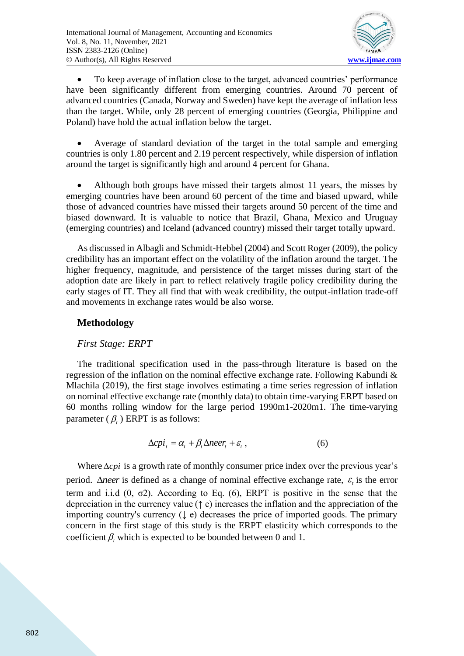

• To keep average of inflation close to the target, advanced countries' performance have been significantly different from emerging countries. Around 70 percent of advanced countries (Canada, Norway and Sweden) have kept the average of inflation less than the target. While, only 28 percent of emerging countries (Georgia, Philippine and Poland) have hold the actual inflation below the target.

• Average of standard deviation of the target in the total sample and emerging countries is only 1.80 percent and 2.19 percent respectively, while dispersion of inflation around the target is significantly high and around 4 percent for Ghana.

• Although both groups have missed their targets almost 11 years, the misses by emerging countries have been around 60 percent of the time and biased upward, while those of advanced countries have missed their targets around 50 percent of the time and biased downward. It is valuable to notice that Brazil, Ghana, Mexico and Uruguay (emerging countries) and Iceland (advanced country) missed their target totally upward.

As discussed in Albagli and Schmidt-Hebbel (2004) and Scott Roger (2009), the policy credibility has an important effect on the volatility of the inflation around the target. The higher frequency, magnitude, and persistence of the target misses during start of the adoption date are likely in part to reflect relatively fragile policy credibility during the early stages of IT. They all find that with weak credibility, the output-inflation trade-off and movements in exchange rates would be also worse.

## **Methodology**

## *First Stage: ERPT*

The traditional specification used in the pass-through literature is based on the regression of the inflation on the nominal effective exchange rate. Following Kabundi & Mlachila (2019), the first stage involves estimating a time series regression of inflation on nominal effective exchange rate (monthly data) to obtain time-varying ERPT based on 60 months rolling window for the large period 1990m1-2020m1. The time-varying parameter  $(\beta_t)$  ERPT is as follows:

$$
\Delta c p i_t = \alpha_t + \beta_t \Delta n e e r_t + \varepsilon_t, \qquad (6)
$$

Where  $\Delta cpi$  is a growth rate of monthly consumer price index over the previous year's period.  $\Delta$ *neer* is defined as a change of nominal effective exchange rate,  $\varepsilon$ <sub>t</sub> is the error term and i.i.d  $(0, \sigma2)$ . According to Eq.  $(6)$ , ERPT is positive in the sense that the depreciation in the currency value (↑ e) increases the inflation and the appreciation of the importing country's currency (↓ e) decreases the price of imported goods. The primary concern in the first stage of this study is the ERPT elasticity which corresponds to the coefficient  $\beta$ , which is expected to be bounded between 0 and 1.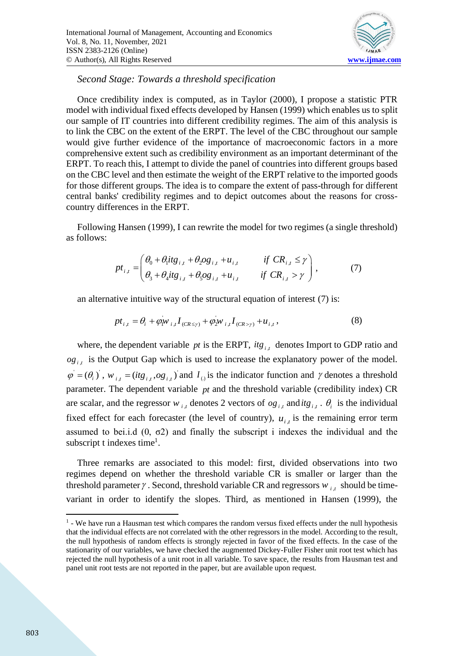

*Second Stage: Towards a threshold specification* 

Once credibility index is computed, as in Taylor (2000), I propose a statistic PTR model with individual fixed effects developed by Hansen (1999) which enables us to split our sample of IT countries into different credibility regimes. The aim of this analysis is to link the CBC on the extent of the ERPT. The level of the CBC throughout our sample would give further evidence of the importance of macroeconomic factors in a more comprehensive extent such as credibility environment as an important determinant of the ERPT. To reach this, I attempt to divide the panel of countries into different groups based on the CBC level and then estimate the weight of the ERPT relative to the imported goods for those different groups. The idea is to compare the extent of pass-through for different central banks' credibility regimes and to depict outcomes about the reasons for crosscountry differences in the ERPT.

Following Hansen (1999), I can rewrite the model for two regimes (a single threshold) as follows:

$$
pt_{i,t} = \begin{pmatrix} \theta_0 + \theta_1 itg_{i,t} + \theta_2 og_{i,t} + u_{i,t} & \text{if } CR_{i,t} \le \gamma \\ \theta_3 + \theta_4 itg_{i,t} + \theta_5 og_{i,t} + u_{i,t} & \text{if } CR_{i,t} > \gamma \end{pmatrix},\tag{7}
$$

an alternative intuitive way of the structural equation of interest (7) is:

$$
pt_{i,t} = \theta_i + \varphi_i w_{i,t} I_{(CR \le \gamma)} + \varphi_2 w_{i,t} I_{(CR > \gamma)} + u_{i,t},
$$
\n(8)

where, the dependent variable  $pt$  is the ERPT,  $itg_{i,t}$  denotes Import to GDP ratio and  $og_{i,t}$  is the Output Gap which is used to increase the explanatory power of the model.  $\varphi = (\theta_i)$ ,  $w_{i,t} = (itg_{i,t}, og_{i,t})$  and  $I_{(i)}$  is the indicator function and  $\gamma$  denotes a threshold parameter. The dependent variable *pt* and the threshold variable (credibility index) CR are scalar, and the regressor  $w_{i,t}$  denotes 2 vectors of  $og_{i,t}$  and  $itg_{i,t}$ .  $\theta_i$  is the individual fixed effect for each forecaster (the level of country),  $u_{i,t}$  is the remaining error term assumed to bei.i.d  $(0, \sigma^2)$  and finally the subscript i indexes the individual and the subscript t indexes time<sup>1</sup>.

Three remarks are associated to this model: first, divided observations into two regimes depend on whether the threshold variable CR is smaller or larger than the threshold parameter  $\gamma$ . Second, threshold variable CR and regressors  $w_{i,t}$  should be timevariant in order to identify the slopes. Third, as mentioned in Hansen (1999), the

<sup>&</sup>lt;sup>1</sup> - We have run a Hausman test which compares the random versus fixed effects under the null hypothesis that the individual effects are not correlated with the other regressors in the model. According to the result, the null hypothesis of random effects is strongly rejected in favor of the fixed effects. In the case of the stationarity of our variables, we have checked the augmented Dickey-Fuller Fisher unit root test which has rejected the null hypothesis of a unit root in all variable. To save space, the results from Hausman test and panel unit root tests are not reported in the paper, but are available upon request.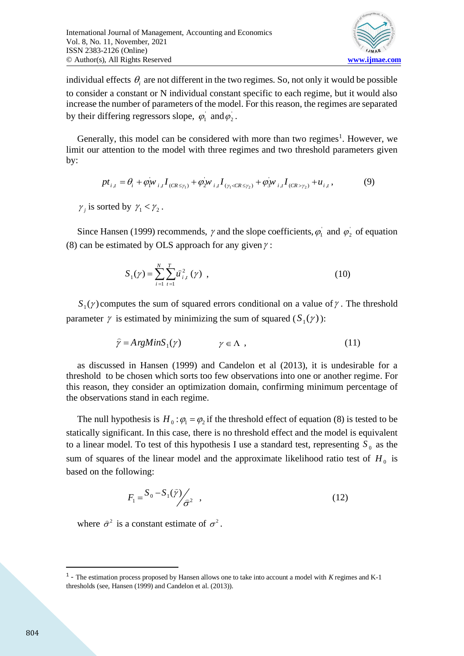

individual effects  $\theta_i$  are not different in the two regimes. So, not only it would be possible to consider a constant or N individual constant specific to each regime, but it would also increase the number of parameters of the model. For this reason, the regimes are separated by their differing regressors slope,  $\varphi_1$  and  $\varphi_2$ .

Generally, this model can be considered with more than two regimes<sup>1</sup>. However, we limit our attention to the model with three regimes and two threshold parameters given by:

$$
pt_{i,t} = \theta_i + \varphi_i w_{i,t} I_{(CR \le \gamma_1)} + \varphi_2 w_{i,t} I_{(\gamma_1 < CR \le \gamma_2)} + \varphi_3 w_{i,t} I_{(CR > \gamma_2)} + u_{i,t},
$$
\n(9)

 $\gamma_j$  is sorted by  $\gamma_1 < \gamma_2$ .

Since Hansen (1999) recommends,  $\gamma$  and the slope coefficients,  $\varphi_1$  and  $\varphi_2$  of equation (8) can be estimated by OLS approach for any given  $\gamma$ :

$$
S_1(\gamma) = \sum_{i=1}^{N} \sum_{t=1}^{T} \hat{u}_{i,t}^2(\gamma) , \qquad (10)
$$

 $S_1(\gamma)$  computes the sum of squared errors conditional on a value of  $\gamma$ . The threshold parameter  $\gamma$  is estimated by minimizing the sum of squared  $(S_1(\gamma))$ :

$$
\hat{\gamma} = A \, r \, g \, MinS_1(\gamma) \qquad \gamma \in \Lambda \tag{11}
$$

as discussed in Hansen (1999) and Candelon et al (2013), it is undesirable for a threshold to be chosen which sorts too few observations into one or another regime. For this reason, they consider an optimization domain, confirming minimum percentage of the observations stand in each regime.

The null hypothesis is  $H_0: \varphi_1 = \varphi_2$  if the threshold effect of equation (8) is tested to be statically significant. In this case, there is no threshold effect and the model is equivalent to a linear model. To test of this hypothesis I use a standard test, representing  $S_0$  as the sum of squares of the linear model and the approximate likelihood ratio test of  $H_0$  is based on the following:

$$
F_1 = \frac{S_0 - S_1(\hat{\gamma})}{\hat{\sigma}^2} \quad , \tag{12}
$$

where  $\hat{\sigma}^2$  is a constant estimate of  $\sigma^2$ .

<sup>1</sup> - The estimation process proposed by Hansen allows one to take into account a model with *K* regimes and K-1 thresholds (see, Hansen (1999) and Candelon et al. (2013)).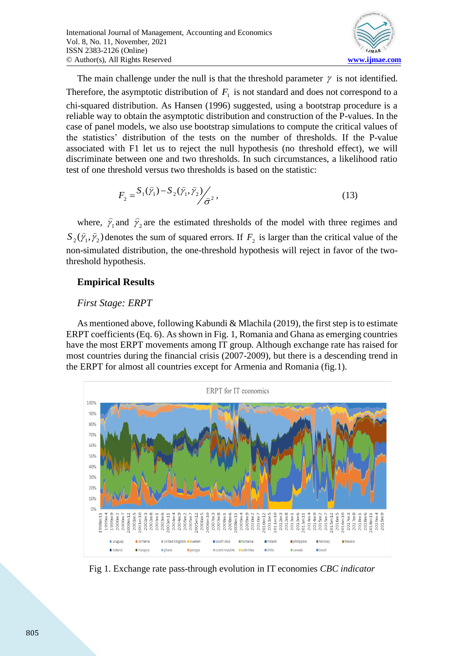

The main challenge under the null is that the threshold parameter  $\gamma$  is not identified. Therefore, the asymptotic distribution of  $F_1$  is not standard and does not correspond to a chi-squared distribution. As Hansen (1996) suggested, using a bootstrap procedure is a reliable way to obtain the asymptotic distribution and construction of the P-values. In the case of panel models, we also use bootstrap simulations to compute the critical values of the statistics' distribution of the tests on the number of thresholds. If the P-value associated with F1 let us to reject the null hypothesis (no threshold effect), we will discriminate between one and two thresholds. In such circumstances, a likelihood ratio test of one threshold versus two thresholds is based on the statistic:

$$
F_2 = \frac{S_1(\hat{\gamma}_1) - S_2(\hat{\gamma}_1, \hat{\gamma}_2)}{\hat{\sigma}^2},\tag{13}
$$

where,  $\hat{\gamma}_1$  and  $\hat{\gamma}_2$  are the estimated thresholds of the model with three regimes and  $S_2(\hat{\gamma}_1, \hat{\gamma}_2)$  denotes the sum of squared errors. If  $F_2$  is larger than the critical value of the non-simulated distribution, the one-threshold hypothesis will reject in favor of the twothreshold hypothesis.

## **Empirical Results**

#### *First Stage: ERPT*

As mentioned above, following Kabundi & Mlachila (2019), the first step is to estimate ERPT coefficients (Eq. 6). As shown in Fig. 1, Romania and Ghana as emerging countries have the most ERPT movements among IT group. Although exchange rate has raised for most countries during the financial crisis (2007-2009), but there is a descending trend in the ERPT for almost all countries except for Armenia and Romania (fig.1).



Fig 1. Exchange rate pass-through evolution in IT economies *CBC indicator*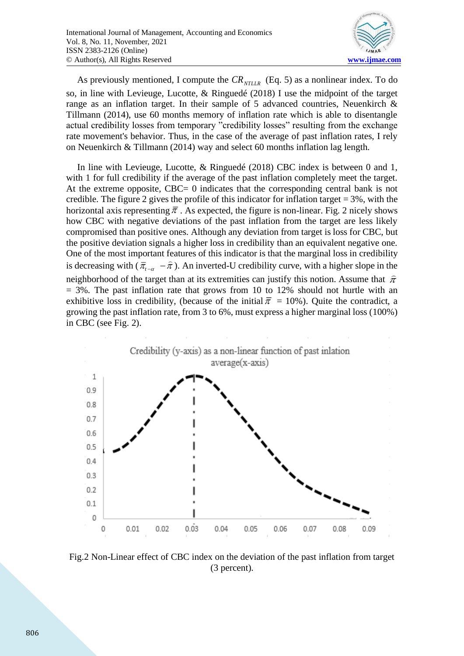

As previously mentioned, I compute the  $CR_{\text{NTLLR}}$  (Eq. 5) as a nonlinear index. To do so, in line with Levieuge, Lucotte, & Ringuedé (2018) I use the midpoint of the target range as an inflation target. In their sample of 5 advanced countries, Neuenkirch & Tillmann (2014), use 60 months memory of inflation rate which is able to disentangle actual credibility losses from temporary "credibility losses" resulting from the exchange rate movement's behavior. Thus, in the case of the average of past inflation rates, I rely on Neuenkirch & Tillmann (2014) way and select 60 months inflation lag length.

In line with Levieuge, Lucotte, & Ringuedé (2018) CBC index is between 0 and 1, with 1 for full credibility if the average of the past inflation completely meet the target. At the extreme opposite, CBC= 0 indicates that the corresponding central bank is not credible. The figure 2 gives the profile of this indicator for inflation target  $= 3\%$ , with the horizontal axis representing  $\bar{\pi}$ . As expected, the figure is non-linear. Fig. 2 nicely shows how CBC with negative deviations of the past inflation from the target are less likely compromised than positive ones. Although any deviation from target is loss for CBC, but the positive deviation signals a higher loss in credibility than an equivalent negative one. One of the most important features of this indicator is that the marginal loss in credibility is decreasing with ( $\bar{\pi}_{t-a}$  –  $\hat{\pi}$ ). An inverted-U credibility curve, with a higher slope in the neighborhood of the target than at its extremities can justify this notion. Assume that  $\hat{\pi}$  $=$  3%. The past inflation rate that grows from 10 to 12% should not hurtle with an exhibitive loss in credibility, (because of the initial  $\bar{\pi} = 10\%$ ). Quite the contradict, a growing the past inflation rate, from 3 to 6%, must express a higher marginal loss (100%) in CBC (see Fig. 2).



Fig.2 Non-Linear effect of CBC index on the deviation of the past inflation from target (3 percent).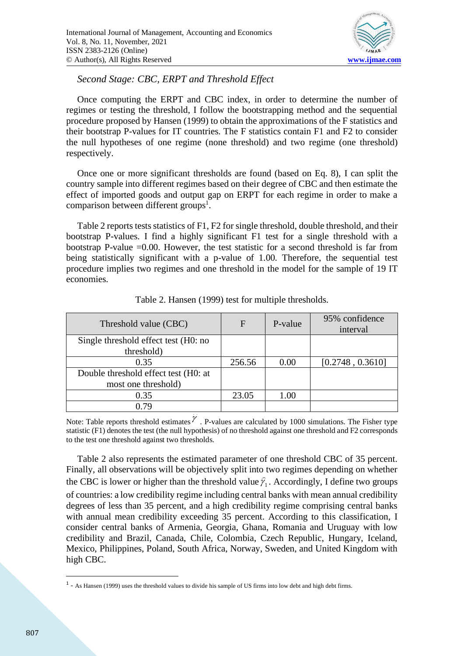

*Second Stage: CBC, ERPT and Threshold Effect*

Once computing the ERPT and CBC index, in order to determine the number of regimes or testing the threshold, I follow the bootstrapping method and the sequential procedure proposed by Hansen (1999) to obtain the approximations of the F statistics and their bootstrap P-values for IT countries. The F statistics contain F1 and F2 to consider the null hypotheses of one regime (none threshold) and two regime (one threshold) respectively.

Once one or more significant thresholds are found (based on Eq. 8), I can split the country sample into different regimes based on their degree of CBC and then estimate the effect of imported goods and output gap on ERPT for each regime in order to make a comparison between different groups<sup>1</sup>.

Table 2 reports tests statistics of F1, F2 for single threshold, double threshold, and their bootstrap P-values. I find a highly significant F1 test for a single threshold with a bootstrap P-value =0.00. However, the test statistic for a second threshold is far from being statistically significant with a p-value of 1.00. Therefore, the sequential test procedure implies two regimes and one threshold in the model for the sample of 19 IT economies.

| Threshold value (CBC)                | F      | P-value | 95% confidence<br>interval |
|--------------------------------------|--------|---------|----------------------------|
| Single threshold effect test (H0: no |        |         |                            |
| threshold)                           |        |         |                            |
| 0.35                                 | 256.56 | 0.00    | [0.2748, 0.3610]           |
| Double threshold effect test (H0: at |        |         |                            |
| most one threshold)                  |        |         |                            |
| 0.35                                 | 23.05  | 1.00    |                            |
| 0.79                                 |        |         |                            |

Table 2. Hansen (1999) test for multiple thresholds.

Note: Table reports threshold estimates  $\mathcal V$ . P-values are calculated by 1000 simulations. The Fisher type statistic (F1) denotes the test (the null hypothesis) of no threshold against one threshold and F2 corresponds to the test one threshold against two thresholds.

Table 2 also represents the estimated parameter of one threshold CBC of 35 percent. Finally, all observations will be objectively split into two regimes depending on whether the CBC is lower or higher than the threshold value  $\hat{\gamma}_1$ . Accordingly, I define two groups of countries: a low credibility regime including central banks with mean annual credibility degrees of less than 35 percent, and a high credibility regime comprising central banks with annual mean credibility exceeding 35 percent. According to this classification, I consider central banks of Armenia, Georgia, Ghana, Romania and Uruguay with low credibility and Brazil, Canada, Chile, Colombia, Czech Republic, Hungary, Iceland, Mexico, Philippines, Poland, South Africa, Norway, Sweden, and United Kingdom with high CBC.

 $<sup>1</sup>$  - As Hansen (1999) uses the threshold values to divide his sample of US firms into low debt and high debt firms.</sup>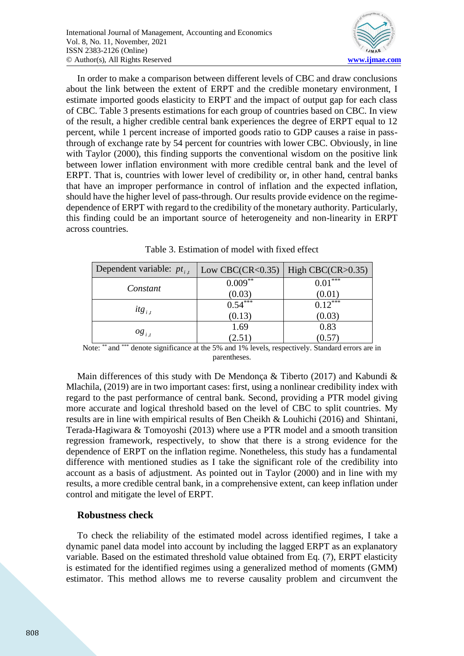

In order to make a comparison between different levels of CBC and draw conclusions about the link between the extent of ERPT and the credible monetary environment, I estimate imported goods elasticity to ERPT and the impact of output gap for each class of CBC. Table 3 presents estimations for each group of countries based on CBC. In view of the result, a higher credible central bank experiences the degree of ERPT equal to 12 percent, while 1 percent increase of imported goods ratio to GDP causes a raise in passthrough of exchange rate by 54 percent for countries with lower CBC. Obviously, in line with Taylor (2000), this finding supports the conventional wisdom on the positive link between lower inflation environment with more credible central bank and the level of ERPT. That is, countries with lower level of credibility or, in other hand, central banks that have an improper performance in control of inflation and the expected inflation, should have the higher level of pass-through. Our results provide evidence on the regimedependence of ERPT with regard to the credibility of the monetary authority. Particularly, this finding could be an important source of heterogeneity and non-linearity in ERPT across countries.

| Dependent variable: $pt_{i,t}$ | Low CBC(CR<0.35)   High CBC(CR>0.35) |             |  |
|--------------------------------|--------------------------------------|-------------|--|
| Constant                       | $0.009***$                           | ***<br>0.01 |  |
|                                | (0.03)                               | (0.01)      |  |
| $it{g}_{i,t}$                  | $0.54***$                            | $0.12***$   |  |
|                                | (0.13)                               | (0.03)      |  |
|                                | 1.69                                 | 0.83        |  |
| $og_{i,t}$                     | (2.51)                               | 0.57        |  |

Table 3. Estimation of model with fixed effect

Note: \*\* and \*\*\* denote significance at the 5% and 1% levels, respectively. Standard errors are in parentheses.

Main differences of this study with De Mendonça & Tiberto (2017) and Kabundi & Mlachila, (2019) are in two important cases: first, using a nonlinear credibility index with regard to the past performance of central bank. Second, providing a PTR model giving more accurate and logical threshold based on the level of CBC to split countries. My results are in line with empirical results of Ben Cheikh & Louhichi (2016) and Shintani, Terada-Hagiwara & Tomoyoshi (2013) where use a PTR model and a smooth transition regression framework, respectively, to show that there is a strong evidence for the dependence of ERPT on the inflation regime. Nonetheless, this study has a fundamental difference with mentioned studies as I take the significant role of the credibility into account as a basis of adjustment. As pointed out in Taylor (2000) and in line with my results, a more credible central bank, in a comprehensive extent, can keep inflation under control and mitigate the level of ERPT.

#### **Robustness check**

To check the reliability of the estimated model across identified regimes, I take a dynamic panel data model into account by including the lagged ERPT as an explanatory variable. Based on the estimated threshold value obtained from Eq. (7), ERPT elasticity is estimated for the identified regimes using a generalized method of moments (GMM) estimator. This method allows me to reverse causality problem and circumvent the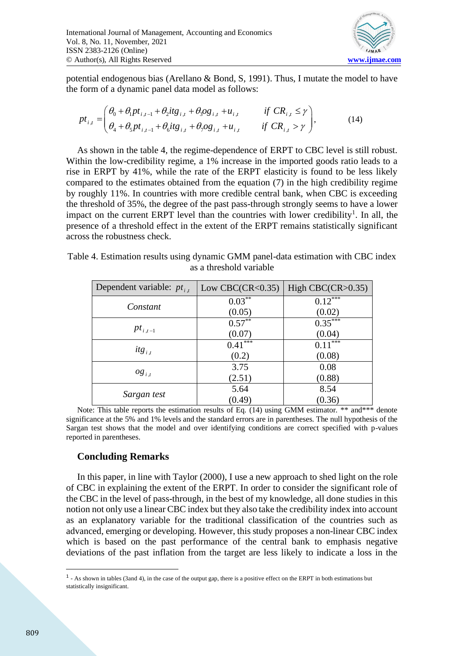

potential endogenous bias (Arellano & Bond, S, 1991). Thus, I mutate the model to have

the form of a dynamic panel data model as follows:  
\n
$$
pt_{i,t} = \begin{pmatrix} \theta_0 + \theta_1 pt_{i,t-1} + \theta_2 t t g_{i,t} + \theta_3 og_{i,t} + u_{i,t} & \text{if } CR_{i,t} \leq \gamma \\ \theta_4 + \theta_5 pt_{i,t-1} + \theta_6 t t g_{i,t} + \theta_7 og_{i,t} + u_{i,t} & \text{if } CR_{i,t} > \gamma \end{pmatrix},
$$
\n(14)

As shown in the table 4, the regime-dependence of ERPT to CBC level is still robust. Within the low-credibility regime, a 1% increase in the imported goods ratio leads to a rise in ERPT by 41%, while the rate of the ERPT elasticity is found to be less likely compared to the estimates obtained from the equation (7) in the high credibility regime by roughly 11%. In countries with more credible central bank, when CBC is exceeding the threshold of 35%, the degree of the past pass-through strongly seems to have a lower impact on the current ERPT level than the countries with lower credibility<sup>1</sup>. In all, the presence of a threshold effect in the extent of the ERPT remains statistically significant across the robustness check.

| Dependent variable: $pt_{i,t}$ | Low CBC(CR< $0.35$ ) | High $CBC(CR>0.35)$     |  |
|--------------------------------|----------------------|-------------------------|--|
|                                | $0.03***$            | $0.12***$               |  |
| Constant                       | (0.05)               | (0.02)                  |  |
|                                | $0.57***$            | $\overline{0.35}^{***}$ |  |
| $pt_{i,t-1}$                   | (0.07)               | (0.04)                  |  |
| $it{g}_{i,t}$                  | $0.41***$            | $0.11***$               |  |
|                                | (0.2)                | (0.08)                  |  |
|                                | 3.75                 | 0.08                    |  |
| $og_{i,t}$                     | (2.51)               | (0.88)                  |  |
|                                | 5.64                 | 8.54                    |  |
| Sargan test                    | (0.49)               | (0.36)                  |  |

Table 4. Estimation results using dynamic GMM panel-data estimation with CBC index as a threshold variable

Note: This table reports the estimation results of Eq. (14) using GMM estimator. \*\* and\*\*\* denote significance at the 5% and 1% levels and the standard errors are in parentheses. The null hypothesis of the Sargan test shows that the model and over identifying conditions are correct specified with p-values reported in parentheses.

#### **Concluding Remarks**

In this paper, in line with Taylor (2000), I use a new approach to shed light on the role of CBC in explaining the extent of the ERPT. In order to consider the significant role of the CBC in the level of pass-through, in the best of my knowledge, all done studies in this notion not only use a linear CBC index but they also take the credibility index into account as an explanatory variable for the traditional classification of the countries such as advanced, emerging or developing. However, this study proposes a non-linear CBC index which is based on the past performance of the central bank to emphasis negative deviations of the past inflation from the target are less likely to indicate a loss in the

 $<sup>1</sup>$  - As shown in tables (3and 4), in the case of the output gap, there is a positive effect on the ERPT in both estimations but</sup> statistically insignificant.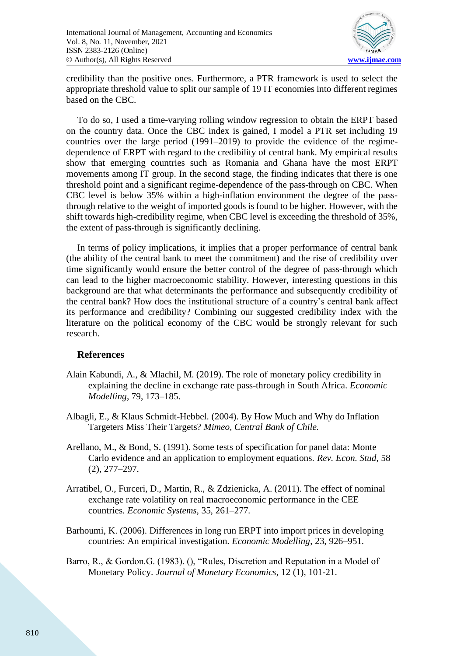

credibility than the positive ones. Furthermore, a PTR framework is used to select the appropriate threshold value to split our sample of 19 IT economies into different regimes based on the CBC.

To do so, I used a time-varying rolling window regression to obtain the ERPT based on the country data. Once the CBC index is gained, I model a PTR set including 19 countries over the large period (1991–2019) to provide the evidence of the regimedependence of ERPT with regard to the credibility of central bank. My empirical results show that emerging countries such as Romania and Ghana have the most ERPT movements among IT group. In the second stage, the finding indicates that there is one threshold point and a significant regime-dependence of the pass-through on CBC. When CBC level is below 35% within a high-inflation environment the degree of the passthrough relative to the weight of imported goods is found to be higher. However, with the shift towards high-credibility regime, when CBC level is exceeding the threshold of 35%, the extent of pass-through is significantly declining.

In terms of policy implications, it implies that a proper performance of central bank (the ability of the central bank to meet the commitment) and the rise of credibility over time significantly would ensure the better control of the degree of pass-through which can lead to the higher macroeconomic stability. However, interesting questions in this background are that what determinants the performance and subsequently credibility of the central bank? How does the institutional structure of a country's central bank affect its performance and credibility? Combining our suggested credibility index with the literature on the political economy of the CBC would be strongly relevant for such research.

#### **References**

- Alain Kabundi, A., & Mlachil, M. (2019). The role of monetary policy credibility in explaining the decline in exchange rate pass-through in South Africa. *Economic Modelling*, 79, 173–185.
- Albagli, E., & Klaus Schmidt-Hebbel. (2004). By How Much and Why do Inflation Targeters Miss Their Targets? *Mimeo, Central Bank of Chile.*
- Arellano, M., & Bond, S. (1991). Some tests of specification for panel data: Monte Carlo evidence and an application to employment equations. *Rev. Econ. Stud*, 58 (2), 277–297.
- Arratibel, O., Furceri, D., Martin, R., & Zdzienicka, A. (2011). The effect of nominal exchange rate volatility on real macroeconomic performance in the CEE countries. *Economic Systems*, 35, 261–277.
- Barhoumi, K. (2006). Differences in long run ERPT into import prices in developing countries: An empirical investigation. *Economic Modelling*, 23, 926–951.
- Barro, R., & Gordon.G. (1983). (), "Rules, Discretion and Reputation in a Model of Monetary Policy. *Journal of Monetary Economics*, 12 (1), 101-21.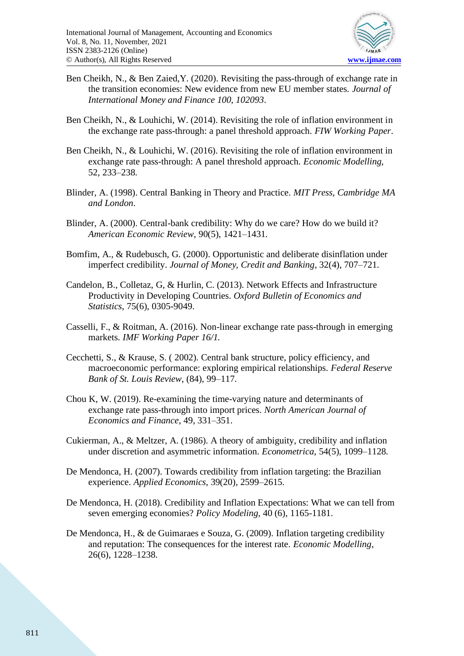

- Ben Cheikh, N., & Ben Zaied,Y. (2020). Revisiting the pass-through of exchange rate in the transition economies: New evidence from new EU member states. *Journal of International Money and Finance 100, 102093*.
- Ben Cheikh, N., & Louhichi, W. (2014). Revisiting the role of inflation environment in the exchange rate pass-through: a panel threshold approach. *FIW Working Paper*.
- Ben Cheikh, N., & Louhichi, W. (2016). Revisiting the role of inflation environment in exchange rate pass-through: A panel threshold approach. *Economic Modelling*, 52, 233–238.
- Blinder, A. (1998). Central Banking in Theory and Practice. *MIT Press, Cambridge MA and London*.
- Blinder, A. (2000). Central-bank credibility: Why do we care? How do we build it? *American Economic Review*, 90(5), 1421–1431.
- Bomfim, A., & Rudebusch, G. (2000). Opportunistic and deliberate disinflation under imperfect credibility. *Journal of Money, Credit and Banking*, 32(4), 707–721.
- Candelon, B., Colletaz, G, & Hurlin, C. (2013). Network Effects and Infrastructure Productivity in Developing Countries. *Oxford Bulletin of Economics and Statistics*, 75(6), 0305-9049.
- Casselli, F., & Roitman, A. (2016). Non-linear exchange rate pass-through in emerging markets. *IMF Working Paper 16/1.*
- Cecchetti, S., & Krause, S. ( 2002). Central bank structure, policy efficiency, and macroeconomic performance: exploring empirical relationships. *Federal Reserve Bank of St. Louis Review*, (84), 99–117.
- Chou K, W. (2019). Re-examining the time-varying nature and determinants of exchange rate pass-through into import prices. *North American Journal of Economics and Finance*, 49, 331–351.
- Cukierman, A., & Meltzer, A. (1986). A theory of ambiguity, credibility and inflation under discretion and asymmetric information. *Econometrica*, 54(5), 1099–1128.
- De Mendonca, H. (2007). Towards credibility from inflation targeting: the Brazilian experience. *Applied Economics*, 39(20), 2599–2615.
- De Mendonca, H. (2018). Credibility and Inflation Expectations: What we can tell from seven emerging economies? *Policy Modeling*, 40 (6), 1165-1181.
- De Mendonca, H., & de Guimaraes e Souza, G. (2009). Inflation targeting credibility and reputation: The consequences for the interest rate. *Economic Modelling*, 26(6), 1228–1238.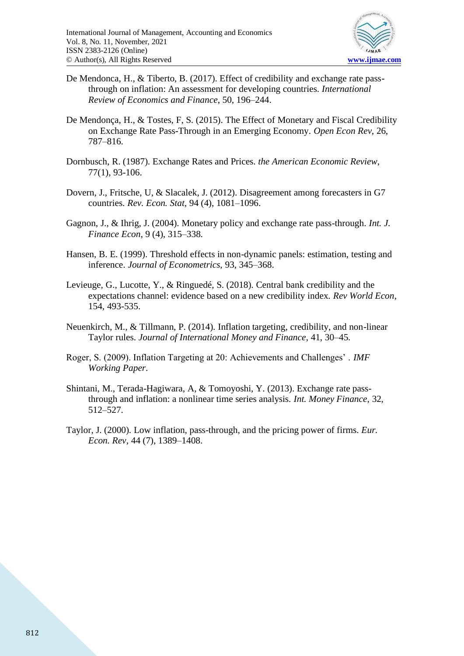

- De Mendonca, H., & Tiberto, B. (2017). Effect of credibility and exchange rate passthrough on inflation: An assessment for developing countries. *International Review of Economics and Finance*, 50, 196–244.
- De Mendonça, H., & Tostes, F, S. (2015). The Effect of Monetary and Fiscal Credibility on Exchange Rate Pass-Through in an Emerging Economy. *Open Econ Rev*, 26, 787–816.
- Dornbusch, R. (1987). Exchange Rates and Prices. *the American Economic Review*, 77(1), 93-106.
- Dovern, J., Fritsche, U, & Slacalek, J. (2012). Disagreement among forecasters in G7 countries. *Rev. Econ. Stat*, 94 (4), 1081–1096.
- Gagnon, J., & Ihrig, J. (2004). Monetary policy and exchange rate pass-through. *Int. J. Finance Econ*, 9 (4), 315–338.
- Hansen, B. E. (1999). Threshold effects in non-dynamic panels: estimation, testing and inference. *Journal of Econometrics*, 93, 345–368.
- Levieuge, G., Lucotte, Y., & Ringuedé, S. (2018). Central bank credibility and the expectations channel: evidence based on a new credibility index. *Rev World Econ*, 154, 493-535.
- Neuenkirch, M., & Tillmann, P. (2014). Inflation targeting, credibility, and non-linear Taylor rules. *Journal of International Money and Finance*, 41, 30–45.
- Roger, S. (2009). Inflation Targeting at 20: Achievements and Challenges' . *IMF Working Paper*.
- Shintani, M., Terada-Hagiwara, A, & Tomoyoshi, Y. (2013). Exchange rate passthrough and inflation: a nonlinear time series analysis. *Int. Money Finance*, 32, 512–527.
- Taylor, J. (2000). Low inflation, pass-through, and the pricing power of firms. *Eur. Econ. Rev*, 44 (7), 1389–1408.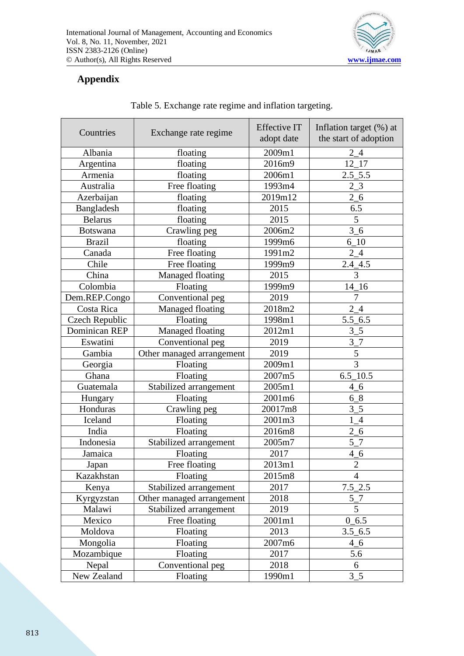

## **Appendix**

| Countries<br>Exchange rate regime |                           | <b>Effective IT</b><br>adopt date | Inflation target (%) at<br>the start of adoption |
|-----------------------------------|---------------------------|-----------------------------------|--------------------------------------------------|
| Albania<br>floating               |                           | 2009m1                            | $2_{-}4$                                         |
| Argentina                         | floating                  | 2016m9                            | 12 17                                            |
| Armenia                           | floating                  | 2006m1                            | $2.5\_5.5$                                       |
| Australia                         | Free floating             | 1993m4                            | $2_{3}$                                          |
| Azerbaijan                        | floating                  | 2019m12                           | $2\_6$                                           |
| Bangladesh                        | floating                  | 2015                              | 6.5                                              |
| <b>Belarus</b>                    | floating                  | 2015                              | 5                                                |
| <b>Botswana</b>                   | Crawling peg              | 2006m2                            | 3 <sub>6</sub>                                   |
| <b>Brazil</b>                     | floating                  | 1999m6                            | $6 - 10$                                         |
| Canada                            | Free floating             | 1991m2                            | 24                                               |
| Chile                             | Free floating             | 1999m9                            | $2.4 - 4.5$                                      |
| China                             | Managed floating          | 2015                              | 3                                                |
| Colombia                          | Floating                  | 1999m9                            | $14-16$                                          |
| Dem.REP.Congo                     | Conventional peg          | 2019                              | 7                                                |
| Costa Rica                        | Managed floating          | 2018m2                            | 24                                               |
| Czech Republic                    | Floating                  | 1998m1                            | $5.5\_6.5$                                       |
| <b>Dominican REP</b>              | Managed floating          | 2012m1                            | $3\_5$                                           |
| Eswatini                          | Conventional peg          | 2019                              | 3 7                                              |
| Gambia                            | Other managed arrangement | 2019                              | $\mathfrak{S}$                                   |
| Georgia                           | Floating                  | 2009m1                            | 3                                                |
| Ghana                             | Floating                  | 2007m5                            | $6.5\_10.5$                                      |
| Guatemala                         | Stabilized arrangement    | 2005m1                            | 4 <sub>6</sub>                                   |
| Hungary                           | Floating                  | 2001m6                            | 68                                               |
| Honduras                          | Crawling peg              | 20017m8                           | $3_{-}5$                                         |
| Iceland                           | Floating                  | 2001m3                            | $1_4$                                            |
| India                             | Floating                  | 2016m8                            | $2\_6$                                           |
| Indonesia                         | Stabilized arrangement    | 2005m7                            | $5-7$                                            |
| Jamaica                           | Floating                  | 2017                              | 4 <sub>6</sub>                                   |
| Japan                             | Free floating             | 2013m1                            | $\sqrt{2}$                                       |
| Kazakhstan                        | Floating                  | 2015m8                            | $\overline{4}$                                   |
| Kenya                             | Stabilized arrangement    | 2017                              | $7.5\_2.5$                                       |
| Kyrgyzstan                        | Other managed arrangement | 2018                              | $5-7$                                            |
| Malawi                            | Stabilized arrangement    | 2019                              | $\overline{5}$                                   |
| Mexico                            | Free floating             | 2001m1                            | $0_6.5$                                          |
| Moldova                           | Floating                  | 2013                              | $3.5\_6.5$                                       |
| Mongolia                          | Floating                  | 2007m6                            | 4 6                                              |
| Mozambique                        | Floating                  | 2017                              | 5.6                                              |
| Nepal                             | Conventional peg          | 2018                              | 6                                                |
| New Zealand                       | Floating                  | 1990m1                            | $3_{-}5$                                         |

Table 5. Exchange rate regime and inflation targeting.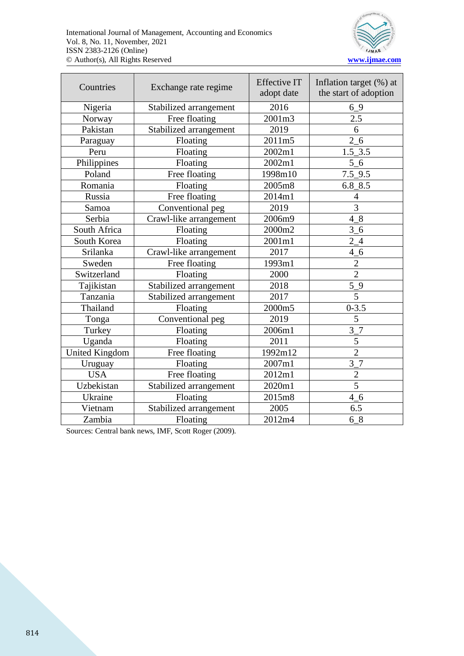

| Exchange rate regime<br>Countries |                        | <b>Effective IT</b><br>adopt date | Inflation target (%) at<br>the start of adoption |
|-----------------------------------|------------------------|-----------------------------------|--------------------------------------------------|
| Nigeria                           | Stabilized arrangement | 2016                              | 69                                               |
| Norway                            | Free floating          | 2001m3                            | 2.5                                              |
| Pakistan                          | Stabilized arrangement | 2019                              | 6                                                |
| Paraguay                          | Floating               | 2011m5                            | $2\_6$                                           |
| Peru                              | Floating               | 2002m1                            | $1.5 - 3.5$                                      |
| Philippines                       | Floating               | 2002m1                            | 5 6                                              |
| Poland                            | Free floating          | 1998m10                           | 7.5 9.5                                          |
| Romania                           | Floating               | 2005m8                            | $6.8 - 8.5$                                      |
| Russia                            | Free floating          | 2014m1                            | $\overline{4}$                                   |
| Samoa                             | Conventional peg       | 2019                              | 3                                                |
| Serbia                            | Crawl-like arrangement | 2006m9                            | $4_{-}8$                                         |
| South Africa                      | Floating               | 2000m2                            | $\overline{3}$<br>$-6$                           |
| South Korea                       | Floating               | 2001m1                            | $2_{-}4$                                         |
| Srilanka                          | Crawl-like arrangement | 2017                              | $4\_6$                                           |
| Sweden                            | Free floating          | 1993m1                            | $\frac{2}{2}$                                    |
| Switzerland                       | Floating               | 2000                              |                                                  |
| Tajikistan                        | Stabilized arrangement | 2018                              | $5-9$                                            |
| Tanzania                          | Stabilized arrangement | 2017                              | 5                                                |
| Thailand                          | Floating               | 2000m5                            | $0 - 3.5$                                        |
| Tonga                             | Conventional peg       | 2019                              | 5                                                |
| Turkey                            | Floating               | 2006m1                            | 3 7                                              |
| Uganda                            | Floating               | 2011                              | 5                                                |
| <b>United Kingdom</b>             | Free floating          | 1992m12                           | $\overline{2}$                                   |
| Uruguay                           | Floating               | 2007m1                            | $3-7$                                            |
| <b>USA</b>                        | Free floating          | 2012m1                            | $\overline{c}$                                   |
| Uzbekistan                        | Stabilized arrangement | 2020m1                            | 5                                                |
| Ukraine                           | Floating               | 2015m8                            | 4 <sub>6</sub>                                   |
| Vietnam                           | Stabilized arrangement | 2005                              | 6.5                                              |
| Zambia                            | Floating               | 2012m4                            | 68                                               |

Sources: Central bank news, IMF, Scott Roger (2009).